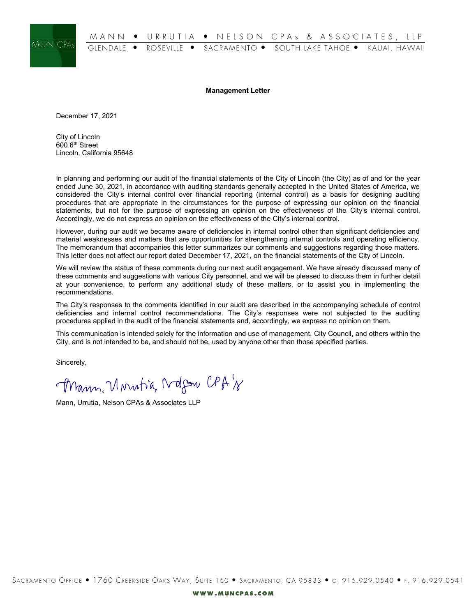

**Management Letter**

December 17, 2021

City of Lincoln 600 6th Street Lincoln, California 95648

In planning and performing our audit of the financial statements of the City of Lincoln (the City) as of and for the year ended June 30, 2021, in accordance with auditing standards generally accepted in the United States of America, we considered the City's internal control over financial reporting (internal control) as a basis for designing auditing procedures that are appropriate in the circumstances for the purpose of expressing our opinion on the financial statements, but not for the purpose of expressing an opinion on the effectiveness of the City's internal control. Accordingly, we do not express an opinion on the effectiveness of the City's internal control.

However, during our audit we became aware of deficiencies in internal control other than significant deficiencies and material weaknesses and matters that are opportunities for strengthening internal controls and operating efficiency. The memorandum that accompanies this letter summarizes our comments and suggestions regarding those matters. This letter does not affect our report dated December 17, 2021, on the financial statements of the City of Lincoln.

We will review the status of these comments during our next audit engagement. We have already discussed many of these comments and suggestions with various City personnel, and we will be pleased to discuss them in further detail at your convenience, to perform any additional study of these matters, or to assist you in implementing the recommendations.

The City's responses to the comments identified in our audit are described in the accompanying schedule of control deficiencies and internal control recommendations. The City's responses were not subjected to the auditing procedures applied in the audit of the financial statements and, accordingly, we express no opinion on them.

This communication is intended solely for the information and use of management, City Council, and others within the City, and is not intended to be, and should not be, used by anyone other than those specified parties.

Sincerely,

Mann, Unutia Ndfor CPA's

Mann, Urrutia, Nelson CPAs & Associates LLP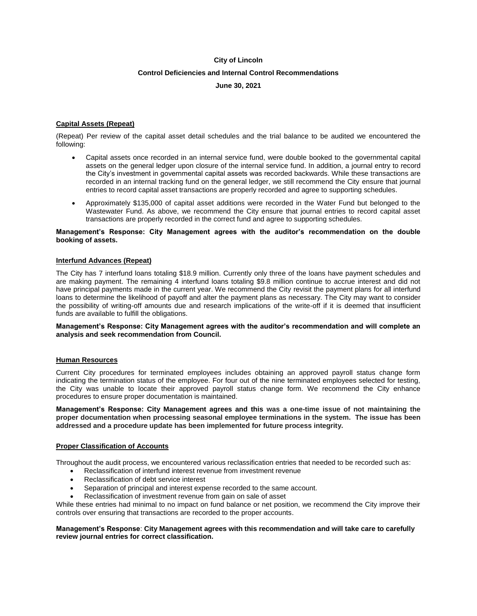## **City of Lincoln**

# **Control Deficiencies and Internal Control Recommendations**

# **June 30, 2021**

# **Capital Assets (Repeat)**

(Repeat) Per review of the capital asset detail schedules and the trial balance to be audited we encountered the following:

- Capital assets once recorded in an internal service fund, were double booked to the governmental capital assets on the general ledger upon closure of the internal service fund. In addition, a journal entry to record the City's investment in governmental capital assets was recorded backwards. While these transactions are recorded in an internal tracking fund on the general ledger, we still recommend the City ensure that journal entries to record capital asset transactions are properly recorded and agree to supporting schedules.
- Approximately \$135,000 of capital asset additions were recorded in the Water Fund but belonged to the Wastewater Fund. As above, we recommend the City ensure that journal entries to record capital asset transactions are properly recorded in the correct fund and agree to supporting schedules.

#### **Management's Response: City Management agrees with the auditor's recommendation on the double booking of assets.**

## **Interfund Advances (Repeat)**

The City has 7 interfund loans totaling \$18.9 million. Currently only three of the loans have payment schedules and are making payment. The remaining 4 interfund loans totaling \$9.8 million continue to accrue interest and did not have principal payments made in the current year. We recommend the City revisit the payment plans for all interfund loans to determine the likelihood of payoff and alter the payment plans as necessary. The City may want to consider the possibility of writing-off amounts due and research implications of the write-off if it is deemed that insufficient funds are available to fulfill the obligations.

#### **Management's Response: City Management agrees with the auditor's recommendation and will complete an analysis and seek recommendation from Council.**

#### **Human Resources**

Current City procedures for terminated employees includes obtaining an approved payroll status change form indicating the termination status of the employee. For four out of the nine terminated employees selected for testing, the City was unable to locate their approved payroll status change form. We recommend the City enhance procedures to ensure proper documentation is maintained.

**Management's Response: City Management agrees and this was a one-time issue of not maintaining the proper documentation when processing seasonal employee terminations in the system. The issue has been addressed and a procedure update has been implemented for future process integrity.**

## **Proper Classification of Accounts**

Throughout the audit process, we encountered various reclassification entries that needed to be recorded such as:

- Reclassification of interfund interest revenue from investment revenue
- Reclassification of debt service interest
- Separation of principal and interest expense recorded to the same account.
- Reclassification of investment revenue from gain on sale of asset

While these entries had minimal to no impact on fund balance or net position, we recommend the City improve their controls over ensuring that transactions are recorded to the proper accounts.

#### **Management's Response**: **City Management agrees with this recommendation and will take care to carefully review journal entries for correct classification.**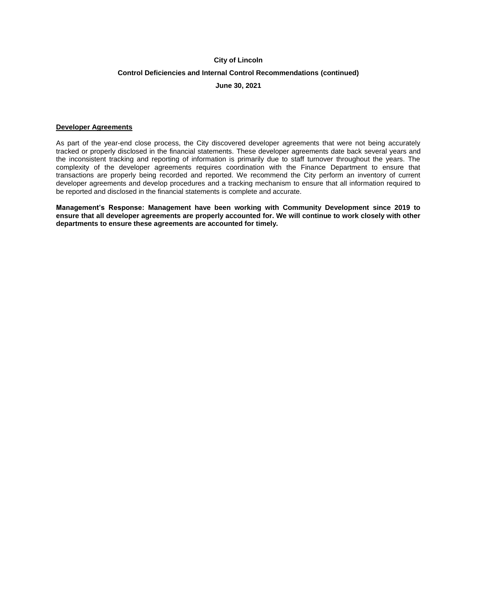## **City of Lincoln**

## **Control Deficiencies and Internal Control Recommendations (continued)**

## **June 30, 2021**

#### **Developer Agreements**

As part of the year-end close process, the City discovered developer agreements that were not being accurately tracked or properly disclosed in the financial statements. These developer agreements date back several years and the inconsistent tracking and reporting of information is primarily due to staff turnover throughout the years. The complexity of the developer agreements requires coordination with the Finance Department to ensure that transactions are properly being recorded and reported. We recommend the City perform an inventory of current developer agreements and develop procedures and a tracking mechanism to ensure that all information required to be reported and disclosed in the financial statements is complete and accurate.

**Management's Response: Management have been working with Community Development since 2019 to ensure that all developer agreements are properly accounted for. We will continue to work closely with other departments to ensure these agreements are accounted for timely.**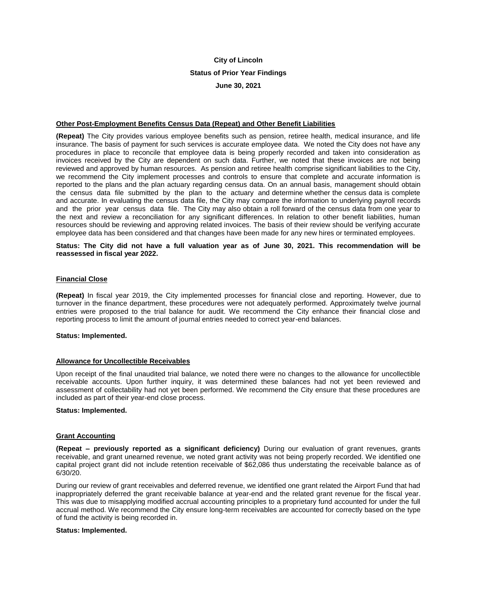# **City of Lincoln Status of Prior Year Findings June 30, 2021**

## **Other Post-Employment Benefits Census Data (Repeat) and Other Benefit Liabilities**

**(Repeat)** The City provides various employee benefits such as pension, retiree health, medical insurance, and life insurance. The basis of payment for such services is accurate employee data. We noted the City does not have any procedures in place to reconcile that employee data is being properly recorded and taken into consideration as invoices received by the City are dependent on such data. Further, we noted that these invoices are not being reviewed and approved by human resources. As pension and retiree health comprise significant liabilities to the City, we recommend the City implement processes and controls to ensure that complete and accurate information is reported to the plans and the plan actuary regarding census data. On an annual basis, management should obtain the census data file submitted by the plan to the actuary and determine whether the census data is complete and accurate. In evaluating the census data file, the City may compare the information to underlying payroll records and the prior year census data file. The City may also obtain a roll forward of the census data from one year to the next and review a reconciliation for any significant differences. In relation to other benefit liabilities, human resources should be reviewing and approving related invoices. The basis of their review should be verifying accurate employee data has been considered and that changes have been made for any new hires or terminated employees.

**Status: The City did not have a full valuation year as of June 30, 2021. This recommendation will be reassessed in fiscal year 2022.** 

#### **Financial Close**

**(Repeat)** In fiscal year 2019, the City implemented processes for financial close and reporting. However, due to turnover in the finance department, these procedures were not adequately performed. Approximately twelve journal entries were proposed to the trial balance for audit. We recommend the City enhance their financial close and reporting process to limit the amount of journal entries needed to correct year-end balances.

#### **Status: Implemented.**

#### **Allowance for Uncollectible Receivables**

Upon receipt of the final unaudited trial balance, we noted there were no changes to the allowance for uncollectible receivable accounts. Upon further inquiry, it was determined these balances had not yet been reviewed and assessment of collectability had not yet been performed. We recommend the City ensure that these procedures are included as part of their year-end close process.

#### **Status: Implemented.**

#### **Grant Accounting**

**(Repeat – previously reported as a significant deficiency)** During our evaluation of grant revenues, grants receivable, and grant unearned revenue, we noted grant activity was not being properly recorded. We identified one capital project grant did not include retention receivable of \$62,086 thus understating the receivable balance as of 6/30/20.

During our review of grant receivables and deferred revenue, we identified one grant related the Airport Fund that had inappropriately deferred the grant receivable balance at year-end and the related grant revenue for the fiscal year. This was due to misapplying modified accrual accounting principles to a proprietary fund accounted for under the full accrual method. We recommend the City ensure long-term receivables are accounted for correctly based on the type of fund the activity is being recorded in.

#### **Status: Implemented.**